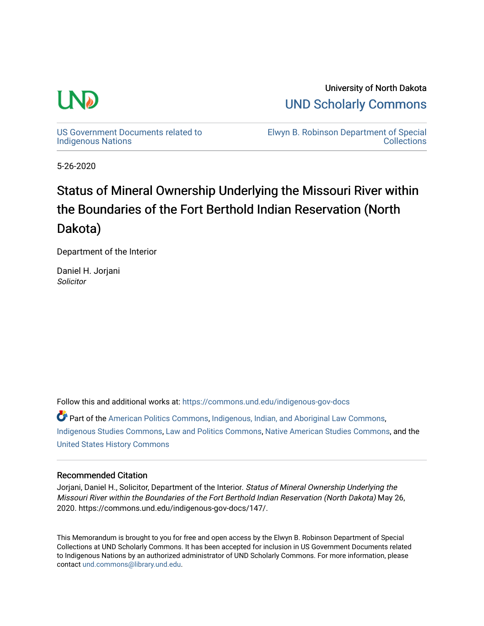

University of North Dakota [UND Scholarly Commons](https://commons.und.edu/) 

[US Government Documents related to](https://commons.und.edu/indigenous-gov-docs)  [Indigenous Nations](https://commons.und.edu/indigenous-gov-docs) 

[Elwyn B. Robinson Department of Special](https://commons.und.edu/archives)  **Collections** 

5-26-2020

# Status of Mineral Ownership Underlying the Missouri River within the Boundaries of the Fort Berthold Indian Reservation (North Dakota)

Department of the Interior

Daniel H. Jorjani **Solicitor** 

Follow this and additional works at: [https://commons.und.edu/indigenous-gov-docs](https://commons.und.edu/indigenous-gov-docs?utm_source=commons.und.edu%2Findigenous-gov-docs%2F146&utm_medium=PDF&utm_campaign=PDFCoverPages) 

Part of the [American Politics Commons,](https://network.bepress.com/hgg/discipline/387?utm_source=commons.und.edu%2Findigenous-gov-docs%2F146&utm_medium=PDF&utm_campaign=PDFCoverPages) [Indigenous, Indian, and Aboriginal Law Commons](https://network.bepress.com/hgg/discipline/894?utm_source=commons.und.edu%2Findigenous-gov-docs%2F146&utm_medium=PDF&utm_campaign=PDFCoverPages), [Indigenous Studies Commons](https://network.bepress.com/hgg/discipline/571?utm_source=commons.und.edu%2Findigenous-gov-docs%2F146&utm_medium=PDF&utm_campaign=PDFCoverPages), [Law and Politics Commons](https://network.bepress.com/hgg/discipline/867?utm_source=commons.und.edu%2Findigenous-gov-docs%2F146&utm_medium=PDF&utm_campaign=PDFCoverPages), [Native American Studies Commons](https://network.bepress.com/hgg/discipline/1434?utm_source=commons.und.edu%2Findigenous-gov-docs%2F146&utm_medium=PDF&utm_campaign=PDFCoverPages), and the [United States History Commons](https://network.bepress.com/hgg/discipline/495?utm_source=commons.und.edu%2Findigenous-gov-docs%2F146&utm_medium=PDF&utm_campaign=PDFCoverPages)

#### Recommended Citation

Jorjani, Daniel H., Solicitor, Department of the Interior. Status of Mineral Ownership Underlying the Missouri River within the Boundaries of the Fort Berthold Indian Reservation (North Dakota) May 26, 2020. https://commons.und.edu/indigenous-gov-docs/147/.

This Memorandum is brought to you for free and open access by the Elwyn B. Robinson Department of Special Collections at UND Scholarly Commons. It has been accepted for inclusion in US Government Documents related to Indigenous Nations by an authorized administrator of UND Scholarly Commons. For more information, please contact [und.commons@library.und.edu.](mailto:und.commons@library.und.edu)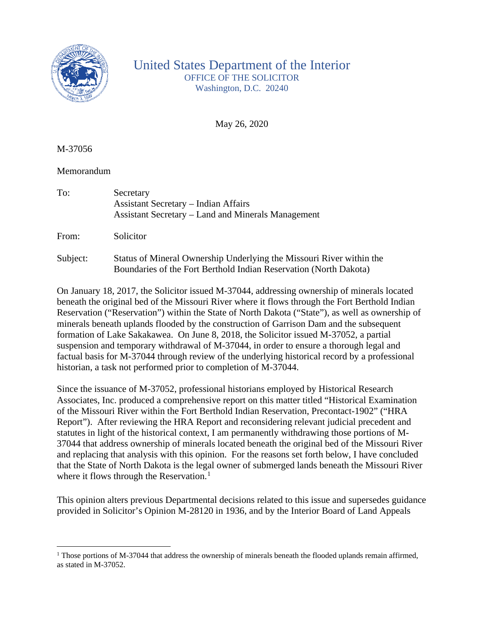

# United States Department of the Interior OFFICE OF THE SOLICITOR Washington, D.C. 20240

May 26, 2020

M-37056

## Memorandum

| To:   | Secretary<br><b>Assistant Secretary – Indian Affairs</b><br>Assistant Secretary – Land and Minerals Management |
|-------|----------------------------------------------------------------------------------------------------------------|
| From: | Solicitor                                                                                                      |

Subject: Status of Mineral Ownership Underlying the Missouri River within the Boundaries of the Fort Berthold Indian Reservation (North Dakota)

On January 18, 2017, the Solicitor issued M-37044, addressing ownership of minerals located beneath the original bed of the Missouri River where it flows through the Fort Berthold Indian Reservation ("Reservation") within the State of North Dakota ("State"), as well as ownership of minerals beneath uplands flooded by the construction of Garrison Dam and the subsequent formation of Lake Sakakawea. On June 8, 2018, the Solicitor issued M-37052, a partial suspension and temporary withdrawal of M-37044, in order to ensure a thorough legal and factual basis for M-37044 through review of the underlying historical record by a professional historian, a task not performed prior to completion of M-37044.

Since the issuance of M-37052, professional historians employed by Historical Research Associates, Inc. produced a comprehensive report on this matter titled "Historical Examination of the Missouri River within the Fort Berthold Indian Reservation, Precontact-1902" ("HRA Report"). After reviewing the HRA Report and reconsidering relevant judicial precedent and statutes in light of the historical context, I am permanently withdrawing those portions of M-37044 that address ownership of minerals located beneath the original bed of the Missouri River and replacing that analysis with this opinion. For the reasons set forth below, I have concluded that the State of North Dakota is the legal owner of submerged lands beneath the Missouri River where it flows through the Reservation.<sup>[1](#page-1-0)</sup>

This opinion alters previous Departmental decisions related to this issue and supersedes guidance provided in Solicitor's Opinion M-28120 in 1936, and by the Interior Board of Land Appeals

<span id="page-1-0"></span><sup>&</sup>lt;sup>1</sup> Those portions of M-37044 that address the ownership of minerals beneath the flooded uplands remain affirmed, as stated in M-37052.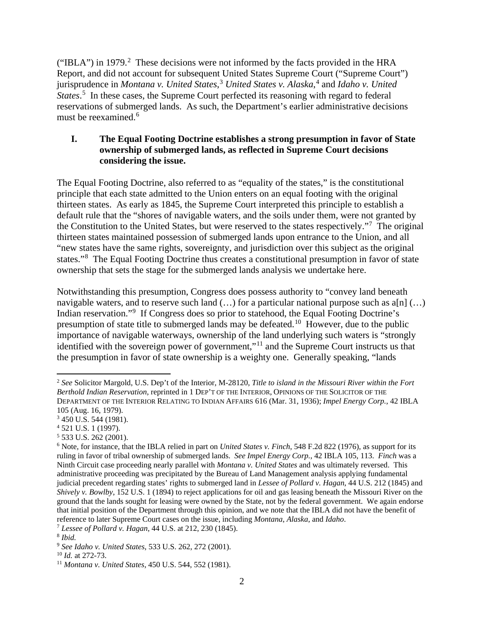("IBLA") in 1979.<sup>[2](#page-2-0)</sup> These decisions were not informed by the facts provided in the HRA Report, and did not account for subsequent United States Supreme Court ("Supreme Court") jurisprudence in *Montana v. United States*, [3](#page-2-1) *United States v. Alaska*, [4](#page-2-2) and *Idaho v. United*  States.<sup>[5](#page-2-3)</sup> In these cases, the Supreme Court perfected its reasoning with regard to federal reservations of submerged lands. As such, the Department's earlier administrative decisions must be reexamined.<sup>[6](#page-2-4)</sup>

# **I. The Equal Footing Doctrine establishes a strong presumption in favor of State ownership of submerged lands, as reflected in Supreme Court decisions considering the issue.**

The Equal Footing Doctrine, also referred to as "equality of the states," is the constitutional principle that each state admitted to the Union enters on an equal footing with the original thirteen states. As early as 1845, the Supreme Court interpreted this principle to establish a default rule that the "shores of navigable waters, and the soils under them, were not granted by the Constitution to the United States, but were reserved to the states respectively."<sup>[7](#page-2-5)</sup> The original thirteen states maintained possession of submerged lands upon entrance to the Union, and all "new states have the same rights, sovereignty, and jurisdiction over this subject as the original states."<sup>[8](#page-2-6)</sup> The Equal Footing Doctrine thus creates a constitutional presumption in favor of state ownership that sets the stage for the submerged lands analysis we undertake here.

Notwithstanding this presumption, Congress does possess authority to "convey land beneath navigable waters, and to reserve such land  $(...)$  for a particular national purpose such as a[n]  $(...)$ Indian reservation."<sup>[9](#page-2-7)</sup> If Congress does so prior to statehood, the Equal Footing Doctrine's presumption of state title to submerged lands may be defeated.[10](#page-2-8) However, due to the public importance of navigable waterways, ownership of the land underlying such waters is "strongly identified with the sovereign power of government,"[11](#page-2-9) and the Supreme Court instructs us that the presumption in favor of state ownership is a weighty one. Generally speaking, "lands

<span id="page-2-0"></span><sup>2</sup> *See* Solicitor Margold, U.S. Dep't of the Interior, M-28120, *Title to island in the Missouri River within the Fort Berthold Indian Reservation*, reprinted in 1 DEP'T OF THE INTERIOR, OPINIONS OF THE SOLICITOR OF THE DEPARTMENT OF THE INTERIOR RELATING TO INDIAN AFFAIRS 616 (Mar. 31, 1936); *Impel Energy Corp.*, 42 IBLA 105 (Aug. 16, 1979).

<span id="page-2-1"></span><sup>3</sup> 450 U.S. 544 (1981).

<span id="page-2-2"></span><sup>4</sup> 521 U.S. 1 (1997).

<span id="page-2-3"></span><sup>5</sup> 533 U.S. 262 (2001).

<span id="page-2-4"></span><sup>6</sup> Note, for instance, that the IBLA relied in part on *United States v. Finch*, 548 F.2d 822 (1976), as support for its ruling in favor of tribal ownership of submerged lands. *See Impel Energy Corp.*, 42 IBLA 105, 113. *Finch* was a Ninth Circuit case proceeding nearly parallel with *Montana v. United States* and was ultimately reversed. This administrative proceeding was precipitated by the Bureau of Land Management analysis applying fundamental judicial precedent regarding states' rights to submerged land in *Lessee of Pollard v. Hagan*, 44 U.S. 212 (1845) and *Shively v. Bowlby*, 152 U.S. 1 (1894) to reject applications for oil and gas leasing beneath the Missouri River on the ground that the lands sought for leasing were owned by the State, not by the federal government. We again endorse that initial position of the Department through this opinion, and we note that the IBLA did not have the benefit of reference to later Supreme Court cases on the issue, including *Montana*, *Alaska*, and *Idaho*.

<span id="page-2-5"></span><sup>7</sup> *Lessee of Pollard v. Hagan*, 44 U.S. at 212, 230 (1845).

<span id="page-2-6"></span><sup>8</sup> *Ibid.*

<span id="page-2-7"></span><sup>9</sup> *See Idaho v. United States*, 533 U.S. 262, 272 (2001).

<span id="page-2-8"></span><sup>10</sup> *Id.* at 272-73.

<span id="page-2-9"></span><sup>11</sup> *Montana v. United States*, 450 U.S. 544, 552 (1981).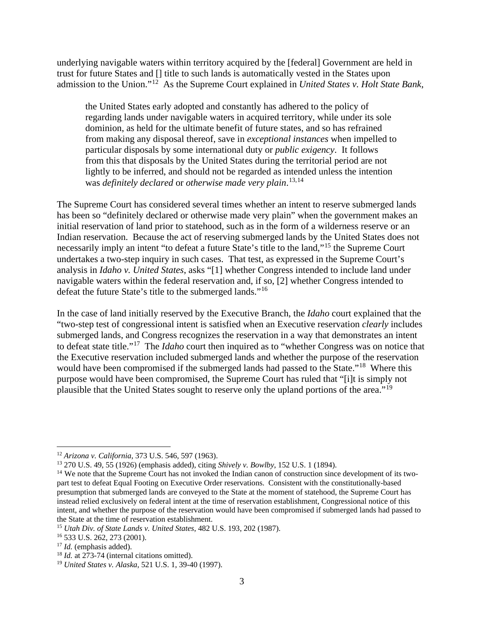underlying navigable waters within territory acquired by the [federal] Government are held in trust for future States and [] title to such lands is automatically vested in the States upon admission to the Union."[12](#page-3-0) As the Supreme Court explained in *United States v. Holt State Bank*,

the United States early adopted and constantly has adhered to the policy of regarding lands under navigable waters in acquired territory, while under its sole dominion, as held for the ultimate benefit of future states, and so has refrained from making any disposal thereof, save in *exceptional instances* when impelled to particular disposals by some international duty or *public exigency*. It follows from this that disposals by the United States during the territorial period are not lightly to be inferred, and should not be regarded as intended unless the intention was *definitely declared* or *otherwise made very plain*. [13,](#page-3-1)[14](#page-3-2)

The Supreme Court has considered several times whether an intent to reserve submerged lands has been so "definitely declared or otherwise made very plain" when the government makes an initial reservation of land prior to statehood, such as in the form of a wilderness reserve or an Indian reservation. Because the act of reserving submerged lands by the United States does not necessarily imply an intent "to defeat a future State's title to the land,"[15](#page-3-3) the Supreme Court undertakes a two-step inquiry in such cases. That test, as expressed in the Supreme Court's analysis in *Idaho v. United States*, asks "[1] whether Congress intended to include land under navigable waters within the federal reservation and, if so, [2] whether Congress intended to defeat the future State's title to the submerged lands."[16](#page-3-4) 

In the case of land initially reserved by the Executive Branch, the *Idaho* court explained that the "two-step test of congressional intent is satisfied when an Executive reservation *clearly* includes submerged lands, and Congress recognizes the reservation in a way that demonstrates an intent to defeat state title."[17](#page-3-5) The *Idaho* court then inquired as to "whether Congress was on notice that the Executive reservation included submerged lands and whether the purpose of the reservation would have been compromised if the submerged lands had passed to the State."<sup>18</sup> Where this purpose would have been compromised, the Supreme Court has ruled that "[i]t is simply not plausible that the United States sought to reserve only the upland portions of the area."[19](#page-3-7)

<span id="page-3-0"></span><sup>12</sup> *Arizona v. California*, 373 U.S. 546, 597 (1963).

<span id="page-3-1"></span><sup>13</sup> 270 U.S. 49, 55 (1926) (emphasis added), citing *Shively v. Bowlby*, 152 U.S. 1 (1894).

<span id="page-3-2"></span><sup>&</sup>lt;sup>14</sup> We note that the Supreme Court has not invoked the Indian canon of construction since development of its twopart test to defeat Equal Footing on Executive Order reservations. Consistent with the constitutionally-based presumption that submerged lands are conveyed to the State at the moment of statehood, the Supreme Court has instead relied exclusively on federal intent at the time of reservation establishment, Congressional notice of this intent, and whether the purpose of the reservation would have been compromised if submerged lands had passed to the State at the time of reservation establishment.

<span id="page-3-4"></span><span id="page-3-3"></span><sup>15</sup> *Utah Div. of State Lands v. United States*, 482 U.S. 193, 202 (1987).

<sup>16</sup> 533 U.S. 262, 273 (2001).

<span id="page-3-5"></span><sup>17</sup> *Id.* (emphasis added).

<span id="page-3-6"></span><sup>&</sup>lt;sup>18</sup> *Id.* at 273-74 (internal citations omitted).

<span id="page-3-7"></span><sup>19</sup> *United States v. Alaska*, 521 U.S. 1, 39-40 (1997).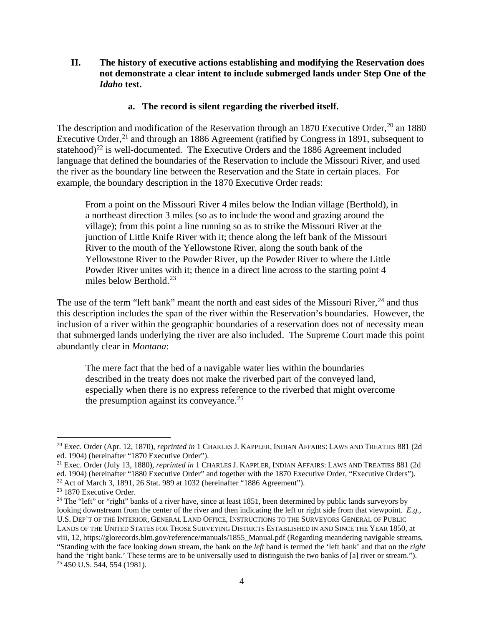**II. The history of executive actions establishing and modifying the Reservation does not demonstrate a clear intent to include submerged lands under Step One of the**  *Idaho* **test.**

#### **a. The record is silent regarding the riverbed itself.**

The description and modification of the Reservation through an 1870 Executive Order,<sup>[20](#page-4-0)</sup> an 1880 Executive Order,<sup>[21](#page-4-1)</sup> and through an 1886 Agreement (ratified by Congress in 1891, subsequent to statehood)<sup>[22](#page-4-2)</sup> is well-documented. The Executive Orders and the 1886 Agreement included language that defined the boundaries of the Reservation to include the Missouri River, and used the river as the boundary line between the Reservation and the State in certain places. For example, the boundary description in the 1870 Executive Order reads:

From a point on the Missouri River 4 miles below the Indian village (Berthold), in a northeast direction 3 miles (so as to include the wood and grazing around the village); from this point a line running so as to strike the Missouri River at the junction of Little Knife River with it; thence along the left bank of the Missouri River to the mouth of the Yellowstone River, along the south bank of the Yellowstone River to the Powder River, up the Powder River to where the Little Powder River unites with it; thence in a direct line across to the starting point 4 miles below Berthold. $^{23}$  $^{23}$  $^{23}$ 

The use of the term "left bank" meant the north and east sides of the Missouri River,  $^{24}$  $^{24}$  $^{24}$  and thus this description includes the span of the river within the Reservation's boundaries. However, the inclusion of a river within the geographic boundaries of a reservation does not of necessity mean that submerged lands underlying the river are also included. The Supreme Court made this point abundantly clear in *Montana*:

The mere fact that the bed of a navigable water lies within the boundaries described in the treaty does not make the riverbed part of the conveyed land, especially when there is no express reference to the riverbed that might overcome the presumption against its conveyance.<sup>[25](#page-4-5)</sup>

<span id="page-4-0"></span><sup>20</sup> Exec. Order (Apr. 12, 1870), *reprinted in* 1 CHARLES J. KAPPLER, INDIAN AFFAIRS: LAWS AND TREATIES 881 (2d ed. 1904) (hereinafter "1870 Executive Order").

<span id="page-4-1"></span><sup>21</sup> Exec. Order (July 13, 1880), *reprinted in* 1 CHARLES J. KAPPLER, INDIAN AFFAIRS: LAWS AND TREATIES 881 (2d ed. 1904) (hereinafter "1880 Executive Order" and together with the 1870 Executive Order, "Executive Orders"). <sup>22</sup> Act of March 3, 1891, 26 Stat. 989 at 1032 (hereinafter "1886 Agreement").

<span id="page-4-3"></span><span id="page-4-2"></span><sup>&</sup>lt;sup>23</sup> 1870 Executive Order.

<span id="page-4-5"></span><span id="page-4-4"></span><sup>&</sup>lt;sup>24</sup> The "left" or "right" banks of a river have, since at least  $1851$ , been determined by public lands surveyors by looking downstream from the center of the river and then indicating the left or right side from that viewpoint. *E.g.,* U.S. DEP'T OF THE INTERIOR, GENERAL LAND OFFICE, INSTRUCTIONS TO THE SURVEYORS GENERAL OF PUBLIC LANDS OF THE UNITED STATES FOR THOSE SURVEYING DISTRICTS ESTABLISHED IN AND SINCE THE YEAR 1850, at viii, 12, https://glorecords.blm.gov/reference/manuals/1855\_Manual.pdf (Regarding meandering navigable streams, "Standing with the face looking *down* stream, the bank on the *left* hand is termed the 'left bank' and that on the *right* hand the 'right bank.' These terms are to be universally used to distinguish the two banks of [a] river or stream."). <sup>25</sup> 450 U.S. 544, 554 (1981).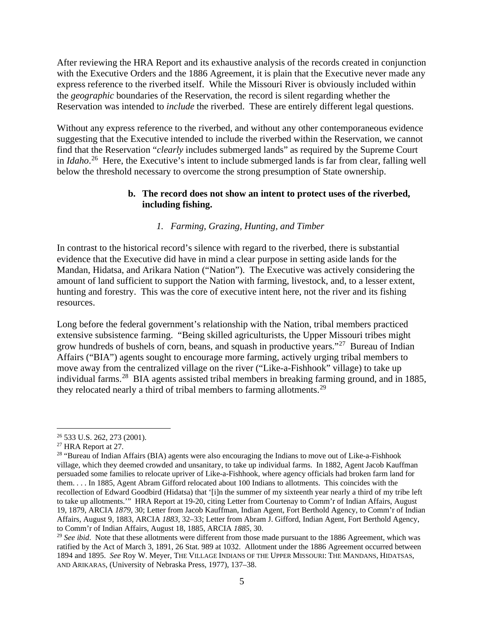After reviewing the HRA Report and its exhaustive analysis of the records created in conjunction with the Executive Orders and the 1886 Agreement, it is plain that the Executive never made any express reference to the riverbed itself. While the Missouri River is obviously included within the *geographic* boundaries of the Reservation, the record is silent regarding whether the Reservation was intended to *include* the riverbed. These are entirely different legal questions.

Without any express reference to the riverbed, and without any other contemporaneous evidence suggesting that the Executive intended to include the riverbed within the Reservation, we cannot find that the Reservation "*clearly* includes submerged lands" as required by the Supreme Court in *Idaho*. [26](#page-5-0) Here, the Executive's intent to include submerged lands is far from clear, falling well below the threshold necessary to overcome the strong presumption of State ownership.

#### **b. The record does not show an intent to protect uses of the riverbed, including fishing.**

## *1. Farming, Grazing, Hunting, and Timber*

In contrast to the historical record's silence with regard to the riverbed, there is substantial evidence that the Executive did have in mind a clear purpose in setting aside lands for the Mandan, Hidatsa, and Arikara Nation ("Nation"). The Executive was actively considering the amount of land sufficient to support the Nation with farming, livestock, and, to a lesser extent, hunting and forestry. This was the core of executive intent here, not the river and its fishing resources.

Long before the federal government's relationship with the Nation, tribal members practiced extensive subsistence farming. "Being skilled agriculturists, the Upper Missouri tribes might grow hundreds of bushels of corn, beans, and squash in productive years."[27](#page-5-1) Bureau of Indian Affairs ("BIA") agents sought to encourage more farming, actively urging tribal members to move away from the centralized village on the river ("Like-a-Fishhook" village) to take up individual farms.<sup>28</sup> BIA agents assisted tribal members in breaking farming ground, and in 1885, they relocated nearly a third of tribal members to farming allotments.<sup>29</sup>

<span id="page-5-0"></span><sup>26</sup> 533 U.S. 262, 273 (2001).

<span id="page-5-1"></span><sup>27</sup> HRA Report at 27.

<span id="page-5-2"></span><sup>&</sup>lt;sup>28</sup> "Bureau of Indian Affairs (BIA) agents were also encouraging the Indians to move out of Like-a-Fishhook village, which they deemed crowded and unsanitary, to take up individual farms. In 1882, Agent Jacob Kauffman persuaded some families to relocate upriver of Like-a-Fishhook, where agency officials had broken farm land for them. . . . In 1885, Agent Abram Gifford relocated about 100 Indians to allotments. This coincides with the recollection of Edward Goodbird (Hidatsa) that '[i]n the summer of my sixteenth year nearly a third of my tribe left to take up allotments.'" HRA Report at 19-20, citing Letter from Courtenay to Comm'r of Indian Affairs, August 19, 1879, ARCIA *1879*, 30; Letter from Jacob Kauffman, Indian Agent, Fort Berthold Agency, to Comm'r of Indian Affairs, August 9, 1883, ARCIA *1883*, 32–33; Letter from Abram J. Gifford, Indian Agent, Fort Berthold Agency, to Comm'r of Indian Affairs, August 18, 1885, ARCIA *1885*, 30.

<span id="page-5-3"></span><sup>&</sup>lt;sup>29</sup> See ibid. Note that these allotments were different from those made pursuant to the 1886 Agreement, which was ratified by the Act of March 3, 1891, 26 Stat. 989 at 1032. Allotment under the 1886 Agreement occurred between 1894 and 1895. *See* Roy W. Meyer, THE VILLAGE INDIANS OF THE UPPER MISSOURI: THE MANDANS, HIDATSAS, AND ARIKARAS, (University of Nebraska Press, 1977), 137–38.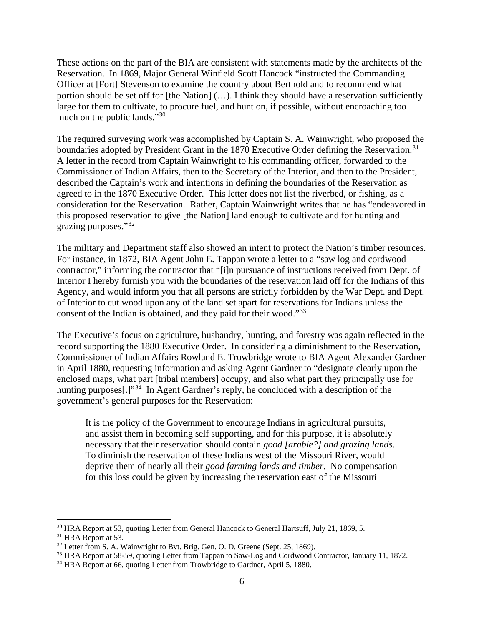These actions on the part of the BIA are consistent with statements made by the architects of the Reservation. In 1869, Major General Winfield Scott Hancock "instructed the Commanding Officer at [Fort] Stevenson to examine the country about Berthold and to recommend what portion should be set off for [the Nation] (…). I think they should have a reservation sufficiently large for them to cultivate, to procure fuel, and hunt on, if possible, without encroaching too much on the public lands."<sup>30</sup>

The required surveying work was accomplished by Captain S. A. Wainwright, who proposed the boundaries adopted by President Grant in the 1870 Executive Order defining the Reservation.<sup>[31](#page-6-1)</sup> A letter in the record from Captain Wainwright to his commanding officer, forwarded to the Commissioner of Indian Affairs, then to the Secretary of the Interior, and then to the President, described the Captain's work and intentions in defining the boundaries of the Reservation as agreed to in the 1870 Executive Order. This letter does not list the riverbed, or fishing, as a consideration for the Reservation. Rather, Captain Wainwright writes that he has "endeavored in this proposed reservation to give [the Nation] land enough to cultivate and for hunting and grazing purposes."[32](#page-6-2)

The military and Department staff also showed an intent to protect the Nation's timber resources. For instance, in 1872, BIA Agent John E. Tappan wrote a letter to a "saw log and cordwood contractor," informing the contractor that "[i]n pursuance of instructions received from Dept. of Interior I hereby furnish you with the boundaries of the reservation laid off for the Indians of this Agency, and would inform you that all persons are strictly forbidden by the War Dept. and Dept. of Interior to cut wood upon any of the land set apart for reservations for Indians unless the consent of the Indian is obtained, and they paid for their wood."<sup>[33](#page-6-3)</sup>

The Executive's focus on agriculture, husbandry, hunting, and forestry was again reflected in the record supporting the 1880 Executive Order. In considering a diminishment to the Reservation, Commissioner of Indian Affairs Rowland E. Trowbridge wrote to BIA Agent Alexander Gardner in April 1880, requesting information and asking Agent Gardner to "designate clearly upon the enclosed maps, what part [tribal members] occupy, and also what part they principally use for hunting purposes<sup>[1]</sup><sup>[34](#page-6-4)</sup> In Agent Gardner's reply, he concluded with a description of the government's general purposes for the Reservation:

It is the policy of the Government to encourage Indians in agricultural pursuits, and assist them in becoming self supporting, and for this purpose, it is absolutely necessary that their reservation should contain *good [arable?] and grazing lands*. To diminish the reservation of these Indians west of the Missouri River, would deprive them of nearly all their *good farming lands and timber*. No compensation for this loss could be given by increasing the reservation east of the Missouri

<span id="page-6-0"></span> $30$  HRA Report at 53, quoting Letter from General Hancock to General Hartsuff, July 21, 1869, 5.  $31$  HRA Report at 53.

<span id="page-6-1"></span>

<span id="page-6-2"></span> $32$  Letter from S. A. Wainwright to Bvt. Brig. Gen. O. D. Greene (Sept. 25, 1869).

<span id="page-6-4"></span><span id="page-6-3"></span><sup>&</sup>lt;sup>33</sup> HRA Report at 58-59, quoting Letter from Tappan to Saw-Log and Cordwood Contractor, January 11, 1872.<br><sup>34</sup> HRA Report at 66, quoting Letter from Trowbridge to Gardner, April 5, 1880.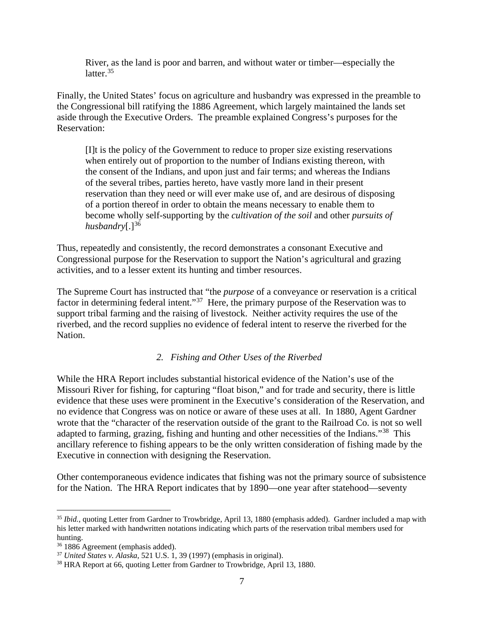River, as the land is poor and barren, and without water or timber—especially the latter.<sup>[35](#page-7-0)</sup>

Finally, the United States' focus on agriculture and husbandry was expressed in the preamble to the Congressional bill ratifying the 1886 Agreement, which largely maintained the lands set aside through the Executive Orders. The preamble explained Congress's purposes for the Reservation:

[I]t is the policy of the Government to reduce to proper size existing reservations when entirely out of proportion to the number of Indians existing thereon, with the consent of the Indians, and upon just and fair terms; and whereas the Indians of the several tribes, parties hereto, have vastly more land in their present reservation than they need or will ever make use of, and are desirous of disposing of a portion thereof in order to obtain the means necessary to enable them to become wholly self-supporting by the *cultivation of the soil* and other *pursuits of husbandry*[.]<sup>[36](#page-7-1)</sup>

Thus, repeatedly and consistently, the record demonstrates a consonant Executive and Congressional purpose for the Reservation to support the Nation's agricultural and grazing activities, and to a lesser extent its hunting and timber resources.

The Supreme Court has instructed that "the *purpose* of a conveyance or reservation is a critical factor in determining federal intent."<sup>37</sup> Here, the primary purpose of the Reservation was to support tribal farming and the raising of livestock. Neither activity requires the use of the riverbed, and the record supplies no evidence of federal intent to reserve the riverbed for the Nation.

#### *2. Fishing and Other Uses of the Riverbed*

While the HRA Report includes substantial historical evidence of the Nation's use of the Missouri River for fishing, for capturing "float bison," and for trade and security, there is little evidence that these uses were prominent in the Executive's consideration of the Reservation, and no evidence that Congress was on notice or aware of these uses at all. In 1880, Agent Gardner wrote that the "character of the reservation outside of the grant to the Railroad Co. is not so well adapted to farming, grazing, fishing and hunting and other necessities of the Indians."<sup>[38](#page-7-3)</sup> This ancillary reference to fishing appears to be the only written consideration of fishing made by the Executive in connection with designing the Reservation.

Other contemporaneous evidence indicates that fishing was not the primary source of subsistence for the Nation. The HRA Report indicates that by 1890—one year after statehood—seventy

<span id="page-7-0"></span><sup>35</sup> *Ibid.*, quoting Letter from Gardner to Trowbridge, April 13, 1880 (emphasis added). Gardner included a map with his letter marked with handwritten notations indicating which parts of the reservation tribal members used for hunting.<br><sup>36</sup> 1886 Agreement (emphasis added).

<span id="page-7-1"></span>

<span id="page-7-3"></span><span id="page-7-2"></span><sup>&</sup>lt;sup>37</sup> *United States v. Alaska*, 521 U.S. 1, 39 (1997) (emphasis in original). <sup>38</sup> HRA Report at 66, quoting Letter from Gardner to Trowbridge, April 13, 1880.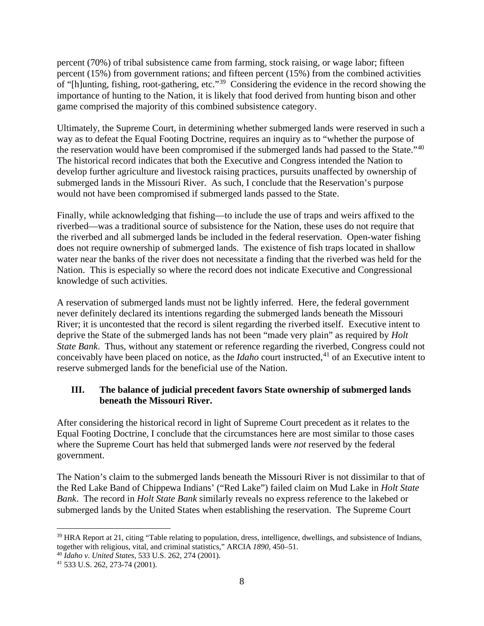percent (70%) of tribal subsistence came from farming, stock raising, or wage labor; fifteen percent (15%) from government rations; and fifteen percent (15%) from the combined activities of "[h]unting, fishing, root-gathering, etc."[39](#page-8-0) Considering the evidence in the record showing the importance of hunting to the Nation, it is likely that food derived from hunting bison and other game comprised the majority of this combined subsistence category.

Ultimately, the Supreme Court, in determining whether submerged lands were reserved in such a way as to defeat the Equal Footing Doctrine, requires an inquiry as to "whether the purpose of the reservation would have been compromised if the submerged lands had passed to the State."[40](#page-8-1)  The historical record indicates that both the Executive and Congress intended the Nation to develop further agriculture and livestock raising practices, pursuits unaffected by ownership of submerged lands in the Missouri River. As such, I conclude that the Reservation's purpose would not have been compromised if submerged lands passed to the State.

Finally, while acknowledging that fishing—to include the use of traps and weirs affixed to the riverbed—was a traditional source of subsistence for the Nation, these uses do not require that the riverbed and all submerged lands be included in the federal reservation. Open-water fishing does not require ownership of submerged lands. The existence of fish traps located in shallow water near the banks of the river does not necessitate a finding that the riverbed was held for the Nation. This is especially so where the record does not indicate Executive and Congressional knowledge of such activities.

A reservation of submerged lands must not be lightly inferred. Here, the federal government never definitely declared its intentions regarding the submerged lands beneath the Missouri River; it is uncontested that the record is silent regarding the riverbed itself. Executive intent to deprive the State of the submerged lands has not been "made very plain" as required by *Holt State Bank*. Thus, without any statement or reference regarding the riverbed, Congress could not conceivably have been placed on notice, as the *Idaho* court instructed,<sup>[41](#page-8-2)</sup> of an Executive intent to reserve submerged lands for the beneficial use of the Nation.

# **III. The balance of judicial precedent favors State ownership of submerged lands beneath the Missouri River.**

After considering the historical record in light of Supreme Court precedent as it relates to the Equal Footing Doctrine, I conclude that the circumstances here are most similar to those cases where the Supreme Court has held that submerged lands were *not* reserved by the federal government.

The Nation's claim to the submerged lands beneath the Missouri River is not dissimilar to that of the Red Lake Band of Chippewa Indians' ("Red Lake") failed claim on Mud Lake in *Holt State Bank*. The record in *Holt State Bank* similarly reveals no express reference to the lakebed or submerged lands by the United States when establishing the reservation. The Supreme Court

<span id="page-8-0"></span><sup>&</sup>lt;sup>39</sup> HRA Report at 21, citing "Table relating to population, dress, intelligence, dwellings, and subsistence of Indians, together with religious, vital, and criminal statistics," ARCIA *<sup>1890</sup>*, 450–51. 40 *Idaho v. United States*, 533 U.S. 262, 274 (2001).

<span id="page-8-2"></span><span id="page-8-1"></span><sup>41</sup> 533 U.S. 262, 273-74 (2001).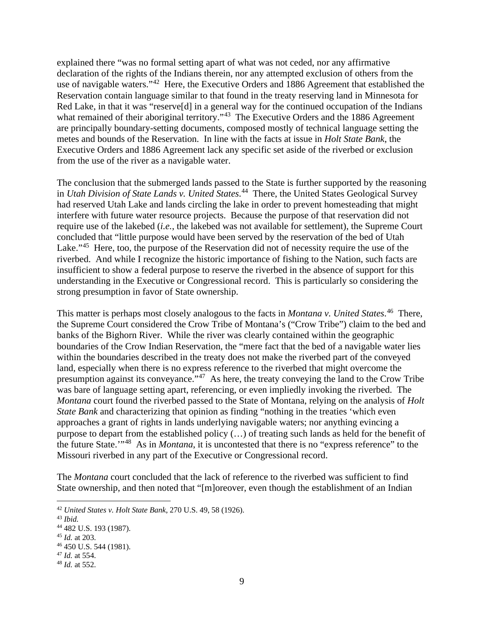explained there "was no formal setting apart of what was not ceded, nor any affirmative declaration of the rights of the Indians therein, nor any attempted exclusion of others from the use of navigable waters."[42](#page-9-0) Here, the Executive Orders and 1886 Agreement that established the Reservation contain language similar to that found in the treaty reserving land in Minnesota for Red Lake, in that it was "reserve<sup>[d]</sup> in a general way for the continued occupation of the Indians what remained of their aboriginal territory."<sup>43</sup> The Executive Orders and the 1886 Agreement are principally boundary-setting documents, composed mostly of technical language setting the metes and bounds of the Reservation. In line with the facts at issue in *Holt State Bank*, the Executive Orders and 1886 Agreement lack any specific set aside of the riverbed or exclusion from the use of the river as a navigable water.

The conclusion that the submerged lands passed to the State is further supported by the reasoning in *Utah Division of State Lands v. United States*. [44](#page-9-2) There, the United States Geological Survey had reserved Utah Lake and lands circling the lake in order to prevent homesteading that might interfere with future water resource projects. Because the purpose of that reservation did not require use of the lakebed (*i.e.*, the lakebed was not available for settlement), the Supreme Court concluded that "little purpose would have been served by the reservation of the bed of Utah Lake."<sup>45</sup> Here, too, the purpose of the Reservation did not of necessity require the use of the riverbed. And while I recognize the historic importance of fishing to the Nation, such facts are insufficient to show a federal purpose to reserve the riverbed in the absence of support for this understanding in the Executive or Congressional record. This is particularly so considering the strong presumption in favor of State ownership.

This matter is perhaps most closely analogous to the facts in *Montana v. United States*. [46](#page-9-4) There, the Supreme Court considered the Crow Tribe of Montana's ("Crow Tribe") claim to the bed and banks of the Bighorn River. While the river was clearly contained within the geographic boundaries of the Crow Indian Reservation, the "mere fact that the bed of a navigable water lies within the boundaries described in the treaty does not make the riverbed part of the conveyed land, especially when there is no express reference to the riverbed that might overcome the presumption against its conveyance."[47](#page-9-5) As here, the treaty conveying the land to the Crow Tribe was bare of language setting apart, referencing, or even impliedly invoking the riverbed. The *Montana* court found the riverbed passed to the State of Montana, relying on the analysis of *Holt State Bank* and characterizing that opinion as finding "nothing in the treaties 'which even approaches a grant of rights in lands underlying navigable waters; nor anything evincing a purpose to depart from the established policy (…) of treating such lands as held for the benefit of the future State.'"[48](#page-9-6) As in *Montana*, it is uncontested that there is no "express reference" to the Missouri riverbed in any part of the Executive or Congressional record.

The *Montana* court concluded that the lack of reference to the riverbed was sufficient to find State ownership, and then noted that "[m]oreover, even though the establishment of an Indian

<span id="page-9-0"></span><sup>42</sup> *United States v. Holt State Bank*, 270 U.S. 49, 58 (1926).

<span id="page-9-1"></span><sup>43</sup> *Ibid.*

<span id="page-9-2"></span><sup>44</sup> 482 U.S. 193 (1987).

<span id="page-9-3"></span><sup>45</sup> *Id.* at 203.

<span id="page-9-4"></span><sup>46</sup> 450 U.S. 544 (1981).

<span id="page-9-5"></span><sup>47</sup> *Id.* at 554.

<span id="page-9-6"></span><sup>48</sup> *Id.* at 552.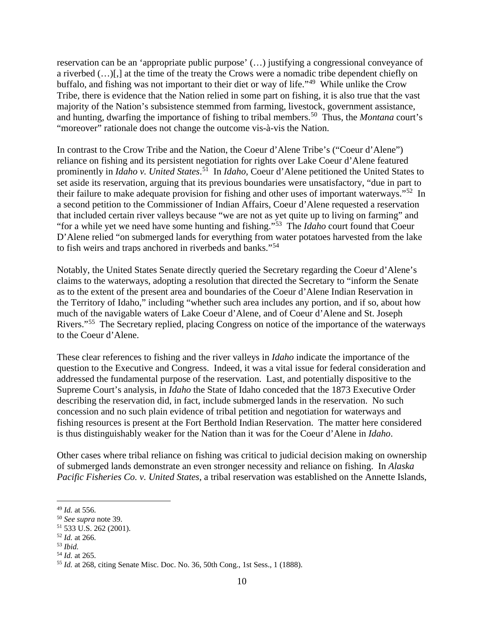reservation can be an 'appropriate public purpose' (…) justifying a congressional conveyance of a riverbed (…)[,] at the time of the treaty the Crows were a nomadic tribe dependent chiefly on buffalo, and fishing was not important to their diet or way of life."[49](#page-10-0) While unlike the Crow Tribe, there is evidence that the Nation relied in some part on fishing, it is also true that the vast majority of the Nation's subsistence stemmed from farming, livestock, government assistance, and hunting, dwarfing the importance of fishing to tribal members.<sup>50</sup> Thus, the *Montana* court's "moreover" rationale does not change the outcome vis-à-vis the Nation.

In contrast to the Crow Tribe and the Nation, the Coeur d'Alene Tribe's ("Coeur d'Alene") reliance on fishing and its persistent negotiation for rights over Lake Coeur d'Alene featured prominently in *Idaho v. United States*. [51](#page-10-2) In *Idaho*, Coeur d'Alene petitioned the United States to set aside its reservation, arguing that its previous boundaries were unsatisfactory, "due in part to their failure to make adequate provision for fishing and other uses of important waterways."[52](#page-10-3) In a second petition to the Commissioner of Indian Affairs, Coeur d'Alene requested a reservation that included certain river valleys because "we are not as yet quite up to living on farming" and "for a while yet we need have some hunting and fishing."[53](#page-10-4) The *Idaho* court found that Coeur D'Alene relied "on submerged lands for everything from water potatoes harvested from the lake to fish weirs and traps anchored in riverbeds and banks."[54](#page-10-5)

Notably, the United States Senate directly queried the Secretary regarding the Coeur d'Alene's claims to the waterways, adopting a resolution that directed the Secretary to "inform the Senate as to the extent of the present area and boundaries of the Coeur d'Alene Indian Reservation in the Territory of Idaho," including "whether such area includes any portion, and if so, about how much of the navigable waters of Lake Coeur d'Alene, and of Coeur d'Alene and St. Joseph Rivers."[55](#page-10-6) The Secretary replied, placing Congress on notice of the importance of the waterways to the Coeur d'Alene.

These clear references to fishing and the river valleys in *Idaho* indicate the importance of the question to the Executive and Congress. Indeed, it was a vital issue for federal consideration and addressed the fundamental purpose of the reservation. Last, and potentially dispositive to the Supreme Court's analysis, in *Idaho* the State of Idaho conceded that the 1873 Executive Order describing the reservation did, in fact, include submerged lands in the reservation. No such concession and no such plain evidence of tribal petition and negotiation for waterways and fishing resources is present at the Fort Berthold Indian Reservation. The matter here considered is thus distinguishably weaker for the Nation than it was for the Coeur d'Alene in *Idaho*.

Other cases where tribal reliance on fishing was critical to judicial decision making on ownership of submerged lands demonstrate an even stronger necessity and reliance on fishing. In *Alaska Pacific Fisheries Co. v. United States*, a tribal reservation was established on the Annette Islands,

<span id="page-10-3"></span><sup>52</sup> *Id.* at 266.

<span id="page-10-5"></span><sup>54</sup> *Id.* at 265.

<span id="page-10-1"></span><span id="page-10-0"></span><sup>&</sup>lt;sup>49</sup> *Id.* at 556.<br><sup>50</sup> *See supra* note 39.

<span id="page-10-2"></span><sup>&</sup>lt;sup>51</sup> 533 U.S. 262 (2001).

<span id="page-10-4"></span><sup>53</sup> *Ibid.*

<span id="page-10-6"></span><sup>55</sup> *Id.* at 268, citing Senate Misc. Doc. No. 36, 50th Cong., 1st Sess., 1 (1888).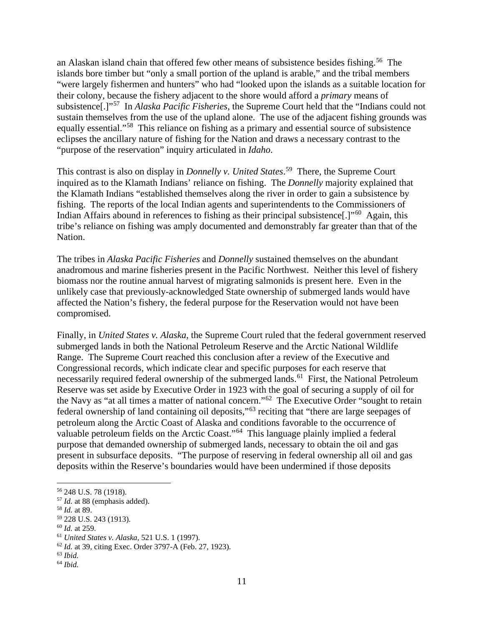an Alaskan island chain that offered few other means of subsistence besides fishing.<sup>[56](#page-11-0)</sup> The islands bore timber but "only a small portion of the upland is arable," and the tribal members "were largely fishermen and hunters" who had "looked upon the islands as a suitable location for their colony, because the fishery adjacent to the shore would afford a *primary* means of subsistence[.]"[57](#page-11-1) In *Alaska Pacific Fisheries*, the Supreme Court held that the "Indians could not sustain themselves from the use of the upland alone. The use of the adjacent fishing grounds was equally essential."[58](#page-11-2) This reliance on fishing as a primary and essential source of subsistence eclipses the ancillary nature of fishing for the Nation and draws a necessary contrast to the "purpose of the reservation" inquiry articulated in *Idaho*.

This contrast is also on display in *Donnelly v. United States*. [59](#page-11-3) There, the Supreme Court inquired as to the Klamath Indians' reliance on fishing. The *Donnelly* majority explained that the Klamath Indians "established themselves along the river in order to gain a subsistence by fishing. The reports of the local Indian agents and superintendents to the Commissioners of Indian Affairs abound in references to fishing as their principal subsistence.<sup>[1]"[60](#page-11-4)</sup> Again, this tribe's reliance on fishing was amply documented and demonstrably far greater than that of the Nation.

The tribes in *Alaska Pacific Fisheries* and *Donnelly* sustained themselves on the abundant anadromous and marine fisheries present in the Pacific Northwest. Neither this level of fishery biomass nor the routine annual harvest of migrating salmonids is present here. Even in the unlikely case that previously-acknowledged State ownership of submerged lands would have affected the Nation's fishery, the federal purpose for the Reservation would not have been compromised.

Finally, in *United States v. Alaska*, the Supreme Court ruled that the federal government reserved submerged lands in both the National Petroleum Reserve and the Arctic National Wildlife Range. The Supreme Court reached this conclusion after a review of the Executive and Congressional records, which indicate clear and specific purposes for each reserve that necessarily required federal ownership of the submerged lands.<sup>61</sup> First, the National Petroleum Reserve was set aside by Executive Order in 1923 with the goal of securing a supply of oil for the Navy as "at all times a matter of national concern."[62](#page-11-6) The Executive Order "sought to retain federal ownership of land containing oil deposits,"<sup>[63](#page-11-7)</sup> reciting that "there are large seepages of petroleum along the Arctic Coast of Alaska and conditions favorable to the occurrence of valuable petroleum fields on the Arctic Coast."[64](#page-11-8) This language plainly implied a federal purpose that demanded ownership of submerged lands, necessary to obtain the oil and gas present in subsurface deposits. "The purpose of reserving in federal ownership all oil and gas deposits within the Reserve's boundaries would have been undermined if those deposits

<span id="page-11-4"></span><sup>60</sup> *Id.* at 259.

<span id="page-11-7"></span><sup>63</sup> *Ibid.*

<span id="page-11-0"></span><sup>56</sup> 248 U.S. 78 (1918).

<span id="page-11-1"></span><sup>57</sup> *Id.* at 88 (emphasis added).

<span id="page-11-2"></span><sup>58</sup> *Id.* at 89.

<span id="page-11-3"></span><sup>59</sup> 228 U.S. 243 (1913).

<span id="page-11-5"></span><sup>61</sup> *United States v. Alaska*, 521 U.S. 1 (1997).

<span id="page-11-6"></span><sup>62</sup> *Id.* at 39, citing Exec. Order 3797-A (Feb. 27, 1923).

<span id="page-11-8"></span><sup>64</sup> *Ibid.*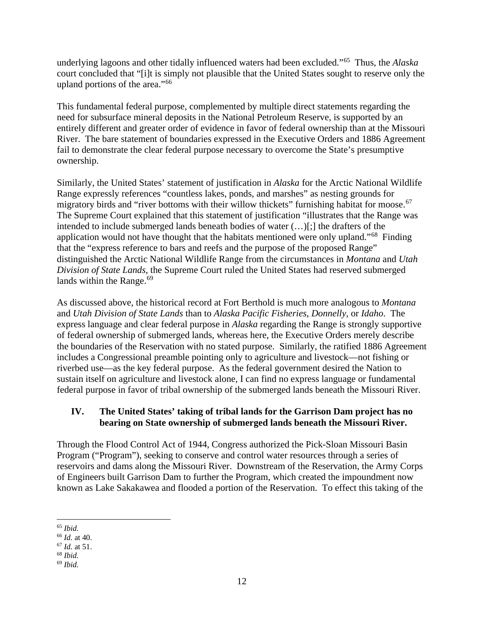underlying lagoons and other tidally influenced waters had been excluded."[65](#page-12-0) Thus, the *Alaska* court concluded that "[i]t is simply not plausible that the United States sought to reserve only the upland portions of the area."[66](#page-12-1) 

This fundamental federal purpose, complemented by multiple direct statements regarding the need for subsurface mineral deposits in the National Petroleum Reserve, is supported by an entirely different and greater order of evidence in favor of federal ownership than at the Missouri River. The bare statement of boundaries expressed in the Executive Orders and 1886 Agreement fail to demonstrate the clear federal purpose necessary to overcome the State's presumptive ownership.

Similarly, the United States' statement of justification in *Alaska* for the Arctic National Wildlife Range expressly references "countless lakes, ponds, and marshes" as nesting grounds for migratory birds and "river bottoms with their willow thickets" furnishing habitat for moose.<sup>[67](#page-12-2)</sup> The Supreme Court explained that this statement of justification "illustrates that the Range was intended to include submerged lands beneath bodies of water (…)[;] the drafters of the application would not have thought that the habitats mentioned were only upland."[68](#page-12-3) Finding that the "express reference to bars and reefs and the purpose of the proposed Range" distinguished the Arctic National Wildlife Range from the circumstances in *Montana* and *Utah Division of State Lands*, the Supreme Court ruled the United States had reserved submerged lands within the Range. $69$ 

As discussed above, the historical record at Fort Berthold is much more analogous to *Montana* and *Utah Division of State Lands* than to *Alaska Pacific Fisheries*, *Donnelly*, or *Idaho*. The express language and clear federal purpose in *Alaska* regarding the Range is strongly supportive of federal ownership of submerged lands, whereas here, the Executive Orders merely describe the boundaries of the Reservation with no stated purpose. Similarly, the ratified 1886 Agreement includes a Congressional preamble pointing only to agriculture and livestock—not fishing or riverbed use—as the key federal purpose. As the federal government desired the Nation to sustain itself on agriculture and livestock alone, I can find no express language or fundamental federal purpose in favor of tribal ownership of the submerged lands beneath the Missouri River.

# **IV. The United States' taking of tribal lands for the Garrison Dam project has no bearing on State ownership of submerged lands beneath the Missouri River.**

Through the Flood Control Act of 1944, Congress authorized the Pick-Sloan Missouri Basin Program ("Program"), seeking to conserve and control water resources through a series of reservoirs and dams along the Missouri River. Downstream of the Reservation, the Army Corps of Engineers built Garrison Dam to further the Program, which created the impoundment now known as Lake Sakakawea and flooded a portion of the Reservation. To effect this taking of the

<span id="page-12-0"></span><sup>65</sup> *Ibid.*

<span id="page-12-1"></span><sup>66</sup> *Id*. at 40.

<span id="page-12-2"></span><sup>67</sup> *Id.* at 51.

<span id="page-12-3"></span><sup>68</sup> *Ibid.*

<span id="page-12-4"></span><sup>69</sup> *Ibid.*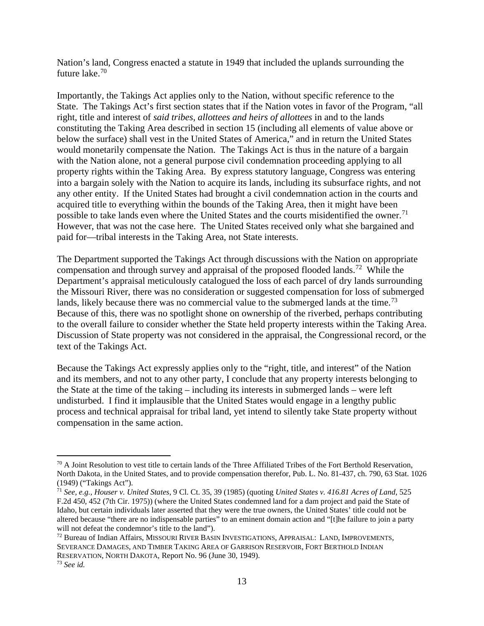Nation's land, Congress enacted a statute in 1949 that included the uplands surrounding the future lake. [70](#page-13-0)

Importantly, the Takings Act applies only to the Nation, without specific reference to the State. The Takings Act's first section states that if the Nation votes in favor of the Program, "all right, title and interest of *said tribes, allottees and heirs of allottees* in and to the lands constituting the Taking Area described in section 15 (including all elements of value above or below the surface) shall vest in the United States of America," and in return the United States would monetarily compensate the Nation. The Takings Act is thus in the nature of a bargain with the Nation alone, not a general purpose civil condemnation proceeding applying to all property rights within the Taking Area. By express statutory language, Congress was entering into a bargain solely with the Nation to acquire its lands, including its subsurface rights, and not any other entity. If the United States had brought a civil condemnation action in the courts and acquired title to everything within the bounds of the Taking Area, then it might have been possible to take lands even where the United States and the courts misidentified the owner.<sup>71</sup> However, that was not the case here. The United States received only what she bargained and paid for—tribal interests in the Taking Area, not State interests.

The Department supported the Takings Act through discussions with the Nation on appropriate compensation and through survey and appraisal of the proposed flooded lands.<sup>[72](#page-13-2)</sup> While the Department's appraisal meticulously catalogued the loss of each parcel of dry lands surrounding the Missouri River, there was no consideration or suggested compensation for loss of submerged lands, likely because there was no commercial value to the submerged lands at the time.<sup>[73](#page-13-3)</sup> Because of this, there was no spotlight shone on ownership of the riverbed, perhaps contributing to the overall failure to consider whether the State held property interests within the Taking Area. Discussion of State property was not considered in the appraisal, the Congressional record, or the text of the Takings Act.

Because the Takings Act expressly applies only to the "right, title, and interest" of the Nation and its members, and not to any other party, I conclude that any property interests belonging to the State at the time of the taking – including its interests in submerged lands – were left undisturbed. I find it implausible that the United States would engage in a lengthy public process and technical appraisal for tribal land, yet intend to silently take State property without compensation in the same action.

<span id="page-13-0"></span> $70$  A Joint Resolution to vest title to certain lands of the Three Affiliated Tribes of the Fort Berthold Reservation, North Dakota, in the United States, and to provide compensation therefor, Pub. L. No. 81-437, ch. 790, 63 Stat. 1026 (1949) ("Takings Act").

<span id="page-13-1"></span><sup>71</sup> *See, e.g.*, *Houser v. United States*, 9 Cl. Ct. 35, 39 (1985) (quoting *United States v. 416.81 Acres of Land*, 525 F.2d 450, 452 (7th Cir. 1975)) (where the United States condemned land for a dam project and paid the State of Idaho, but certain individuals later asserted that they were the true owners, the United States' title could not be altered because "there are no indispensable parties" to an eminent domain action and "[t]he failure to join a party will not defeat the condemnor's title to the land").

<span id="page-13-2"></span><sup>72</sup> Bureau of Indian Affairs, MISSOURI RIVER BASIN INVESTIGATIONS, APPRAISAL: LAND, IMPROVEMENTS, SEVERANCE DAMAGES, AND TIMBER TAKING AREA OF GARRISON RESERVOIR, FORT BERTHOLD INDIAN RESERVATION, NORTH DAKOTA, Report No. 96 (June 30, 1949).

<span id="page-13-3"></span><sup>73</sup> *See id.*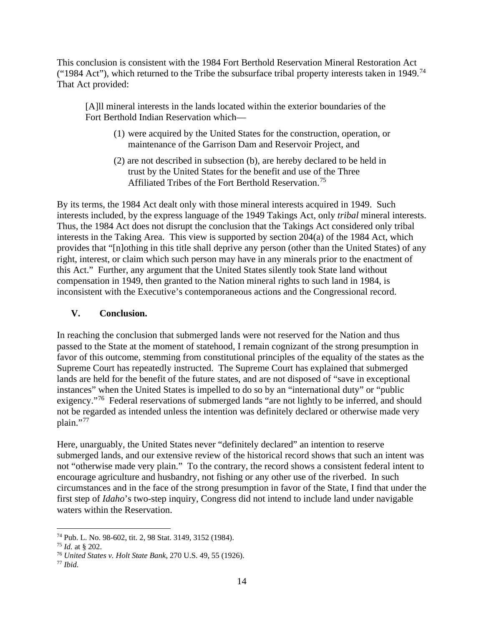This conclusion is consistent with the 1984 Fort Berthold Reservation Mineral Restoration Act ("1984 Act"), which returned to the Tribe the subsurface tribal property interests taken in 1949.<sup>74</sup> That Act provided:

[A]ll mineral interests in the lands located within the exterior boundaries of the Fort Berthold Indian Reservation which—

- (1) were acquired by the United States for the construction, operation, or maintenance of the Garrison Dam and Reservoir Project, and
- (2) are not described in subsection (b), are hereby declared to be held in trust by the United States for the benefit and use of the Three Affiliated Tribes of the Fort Berthold Reservation.<sup>[75](#page-14-1)</sup>

By its terms, the 1984 Act dealt only with those mineral interests acquired in 1949. Such interests included, by the express language of the 1949 Takings Act, only *tribal* mineral interests. Thus, the 1984 Act does not disrupt the conclusion that the Takings Act considered only tribal interests in the Taking Area. This view is supported by section 204(a) of the 1984 Act, which provides that "[n]othing in this title shall deprive any person (other than the United States) of any right, interest, or claim which such person may have in any minerals prior to the enactment of this Act." Further, any argument that the United States silently took State land without compensation in 1949, then granted to the Nation mineral rights to such land in 1984, is inconsistent with the Executive's contemporaneous actions and the Congressional record.

# **V. Conclusion.**

In reaching the conclusion that submerged lands were not reserved for the Nation and thus passed to the State at the moment of statehood, I remain cognizant of the strong presumption in favor of this outcome, stemming from constitutional principles of the equality of the states as the Supreme Court has repeatedly instructed. The Supreme Court has explained that submerged lands are held for the benefit of the future states, and are not disposed of "save in exceptional instances" when the United States is impelled to do so by an "international duty" or "public exigency."<sup>[76](#page-14-2)</sup> Federal reservations of submerged lands "are not lightly to be inferred, and should not be regarded as intended unless the intention was definitely declared or otherwise made very plain."[77](#page-14-3)

Here, unarguably, the United States never "definitely declared" an intention to reserve submerged lands, and our extensive review of the historical record shows that such an intent was not "otherwise made very plain." To the contrary, the record shows a consistent federal intent to encourage agriculture and husbandry, not fishing or any other use of the riverbed. In such circumstances and in the face of the strong presumption in favor of the State, I find that under the first step of *Idaho*'s two-step inquiry, Congress did not intend to include land under navigable waters within the Reservation.

<span id="page-14-0"></span><sup>74</sup> Pub. L. No. 98-602, tit. 2, 98 Stat. 3149, 3152 (1984).

<span id="page-14-1"></span><sup>75</sup> *Id.* at § 202.

<span id="page-14-2"></span><sup>76</sup> *United States v. Holt State Bank*, 270 U.S. 49, 55 (1926).

<span id="page-14-3"></span><sup>77</sup> *Ibid.*